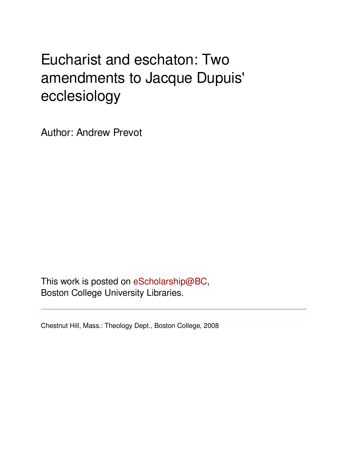# Eucharist and eschaton: Two amendments to Jacque Dupuis' ecclesiology

Author: Andrew Prevot

This work is posted on [eScholarship@BC](http://escholarship.bc.edu), Boston College University Libraries.

Chestnut Hill, Mass.: Theology Dept., Boston College, 2008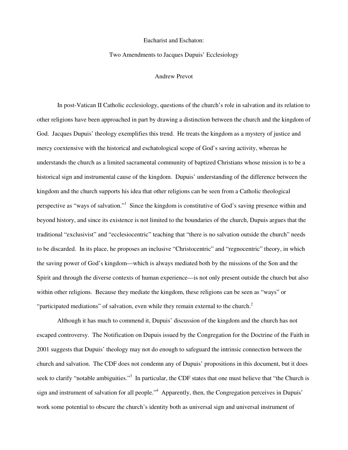## Eucharist and Eschaton:

### Two Amendments to Jacques Dupuis' Ecclesiology

#### Andrew Prevot

In post-Vatican II Catholic ecclesiology, questions of the church's role in salvation and its relation to other religions have been approached in part by drawing a distinction between the church and the kingdom of God. Jacques Dupuis' theology exemplifies this trend. He treats the kingdom as a mystery of justice and mercy coextensive with the historical and eschatological scope of God's saving activity, whereas he understands the church as a limited sacramental community of baptized Christians whose mission is to be a historical sign and instrumental cause of the kingdom. Dupuis' understanding of the difference between the kingdom and the church supports his idea that other religions can be seen from a Catholic theological perspective as "ways of salvation."<sup>1</sup> Since the kingdom is constitutive of God's saving presence within and beyond history, and since its existence is not limited to the boundaries of the church, Dupuis argues that the traditional "exclusivist" and "ecclesiocentric" teaching that "there is no salvation outside the church" needs to be discarded. In its place, he proposes an inclusive "Christocentric" and "regnocentric" theory, in which the saving power of God's kingdom—which is always mediated both by the missions of the Son and the Spirit and through the diverse contexts of human experience—is not only present outside the church but also within other religions. Because they mediate the kingdom, these religions can be seen as "ways" or "participated mediations" of salvation, even while they remain external to the church. $2$ 

Although it has much to commend it, Dupuis' discussion of the kingdom and the church has not escaped controversy. The Notification on Dupuis issued by the Congregation for the Doctrine of the Faith in 2001 suggests that Dupuis' theology may not do enough to safeguard the intrinsic connection between the church and salvation. The CDF does not condemn any of Dupuis' propositions in this document, but it does seek to clarify "notable ambiguities."<sup>3</sup> In particular, the CDF states that one must believe that "the Church is sign and instrument of salvation for all people."<sup>4</sup> Apparently, then, the Congregation perceives in Dupuis' work some potential to obscure the church's identity both as universal sign and universal instrument of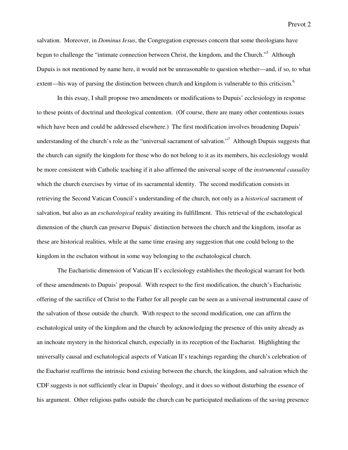salvation. Moreover, in *Dominus Iesus*, the Congregation expresses concern that some theologians have begun to challenge the "intimate connection between Christ, the kingdom, and the Church."<sup>5</sup> Although Dupuis is not mentioned by name here, it would not be unreasonable to question whether—and, if so, to what extent—his way of parsing the distinction between church and kingdom is vulnerable to this criticism.<sup>6</sup>

In this essay, I shall propose two amendments or modifications to Dupuis' ecclesiology in response to these points of doctrinal and theological contention. (Of course, there are many other contentious issues which have been and could be addressed elsewhere.) The first modification involves broadening Dupuis' understanding of the church's role as the "universal sacrament of salvation."<sup>7</sup> Although Dupuis suggests that the church can signify the kingdom for those who do not belong to it as its members, his ecclesiology would be more consistent with Catholic teaching if it also affirmed the universal scope of the *instrumental causality* which the church exercises by virtue of its sacramental identity. The second modification consists in retrieving the Second Vatican Council's understanding of the church, not only as a *historical* sacrament of salvation, but also as an *eschatological* reality awaiting its fulfillment. This retrieval of the eschatological dimension of the church can preserve Dupuis' distinction between the church and the kingdom, insofar as these are historical realities, while at the same time erasing any suggestion that one could belong to the kingdom in the eschaton without in some way belonging to the eschatological church.

The Eucharistic dimension of Vatican II's ecclesiology establishes the theological warrant for both of these amendments to Dupuis' proposal. With respect to the first modification, the church's Eucharistic offering of the sacrifice of Christ to the Father for all people can be seen as a universal instrumental cause of the salvation of those outside the church. With respect to the second modification, one can affirm the eschatological unity of the kingdom and the church by acknowledging the presence of this unity already as an inchoate mystery in the historical church, especially in its reception of the Eucharist. Highlighting the universally causal and eschatological aspects of Vatican II's teachings regarding the church's celebration of the Eucharist reaffirms the intrinsic bond existing between the church, the kingdom, and salvation which the CDF suggests is not sufficiently clear in Dupuis' theology, and it does so without disturbing the essence of his argument. Other religious paths outside the church can be participated mediations of the saving presence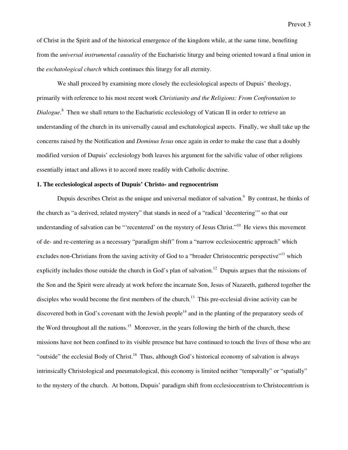of Christ in the Spirit and of the historical emergence of the kingdom while, at the same time, benefiting from the *universal instrumental causality* of the Eucharistic liturgy and being oriented toward a final union in the *eschatological church* which continues this liturgy for all eternity.

We shall proceed by examining more closely the ecclesiological aspects of Dupuis' theology, primarily with reference to his most recent work *Christianity and the Religions: From Confrontation to*  Dialogue.<sup>8</sup> Then we shall return to the Eucharistic ecclesiology of Vatican II in order to retrieve an understanding of the church in its universally causal and eschatological aspects. Finally, we shall take up the concerns raised by the Notification and *Dominus Iesus* once again in order to make the case that a doubly modified version of Dupuis' ecclesiology both leaves his argument for the salvific value of other religions essentially intact and allows it to accord more readily with Catholic doctrine.

## **1. The ecclesiological aspects of Dupuis' Christo- and regnocentrism**

Dupuis describes Christ as the unique and universal mediator of salvation.<sup>9</sup> By contrast, he thinks of the church as "a derived, related mystery" that stands in need of a "radical 'decentering'" so that our understanding of salvation can be "'recentered' on the mystery of Jesus Christ."<sup>10</sup> He views this movement of de- and re-centering as a necessary "paradigm shift" from a "narrow ecclesiocentric approach" which excludes non-Christians from the saving activity of God to a "broader Christocentric perspective"<sup>11</sup> which explicitly includes those outside the church in God's plan of salvation.<sup>12</sup> Dupuis argues that the missions of the Son and the Spirit were already at work before the incarnate Son, Jesus of Nazareth, gathered together the disciples who would become the first members of the church.<sup>13</sup> This pre-ecclesial divine activity can be discovered both in God's covenant with the Jewish people<sup>14</sup> and in the planting of the preparatory seeds of the Word throughout all the nations.<sup>15</sup> Moreover, in the years following the birth of the church, these missions have not been confined to its visible presence but have continued to touch the lives of those who are "outside" the ecclesial Body of Christ.<sup>16</sup> Thus, although God's historical economy of salvation is always intrinsically Christological and pneumatological, this economy is limited neither "temporally" or "spatially" to the mystery of the church. At bottom, Dupuis' paradigm shift from ecclesiocentrism to Christocentrism is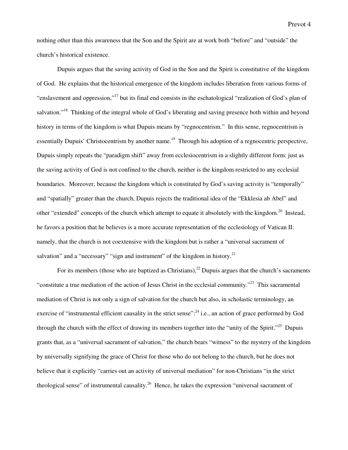nothing other than this awareness that the Son and the Spirit are at work both "before" and "outside" the church's historical existence.

Dupuis argues that the saving activity of God in the Son and the Spirit is constitutive of the kingdom of God. He explains that the historical emergence of the kingdom includes liberation from various forms of "enslavement and oppression,"<sup>17</sup> but its final end consists in the eschatological "realization of God's plan of salvation."<sup>18</sup> Thinking of the integral whole of God's liberating and saving presence both within and beyond history in terms of the kingdom is what Dupuis means by "regnocentrism." In this sense, regnocentrism is essentially Dupuis' Christocentrism by another name.<sup>19</sup> Through his adoption of a regnocentric perspective, Dupuis simply repeats the "paradigm shift" away from ecclesiocentrism in a slightly different form: just as the saving activity of God is not confined to the church, neither is the kingdom restricted to any ecclesial boundaries. Moreover, because the kingdom which is constituted by God's saving activity is "temporally" and "spatially" greater than the church, Dupuis rejects the traditional idea of the "Ekklesia ab Abel" and other "extended" concepts of the church which attempt to equate it absolutely with the kingdom.<sup>20</sup> Instead, he favors a position that he believes is a more accurate representation of the ecclesiology of Vatican II: namely, that the church is not coextensive with the kingdom but is rather a "universal sacrament of salvation" and a "necessary" "sign and instrument" of the kingdom in history.<sup>21</sup>

For its members (those who are baptized as Christians),  $^{22}$  Dupuis argues that the church's sacraments "constitute a true mediation of the action of Jesus Christ in the ecclesial community."<sup>23</sup> This sacramental mediation of Christ is not only a sign of salvation for the church but also, in scholastic terminology, an exercise of "instrumental efficient causality in the strict sense":<sup>24</sup> i.e., an action of grace performed by God through the church with the effect of drawing its members together into the "unity of the Spirit."<sup>25</sup> Dupuis grants that, as a "universal sacrament of salvation," the church bears "witness" to the mystery of the kingdom by universally signifying the grace of Christ for those who do not belong to the church, but he does not believe that it explicitly "carries out an activity of universal mediation" for non-Christians "in the strict theological sense" of instrumental causality.<sup>26</sup> Hence, he takes the expression "universal sacrament of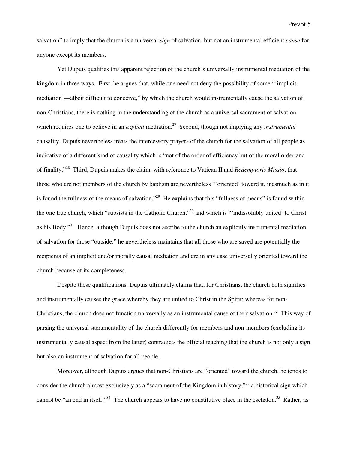salvation" to imply that the church is a universal *sign* of salvation, but not an instrumental efficient *cause* for anyone except its members.

Yet Dupuis qualifies this apparent rejection of the church's universally instrumental mediation of the kingdom in three ways. First, he argues that, while one need not deny the possibility of some "'implicit mediation'—albeit difficult to conceive," by which the church would instrumentally cause the salvation of non-Christians, there is nothing in the understanding of the church as a universal sacrament of salvation which requires one to believe in an *explicit* mediation.<sup>27</sup> Second, though not implying any *instrumental* causality, Dupuis nevertheless treats the intercessory prayers of the church for the salvation of all people as indicative of a different kind of causality which is "not of the order of efficiency but of the moral order and of finality."<sup>28</sup> Third, Dupuis makes the claim, with reference to Vatican II and *Redemptoris Missio*, that those who are not members of the church by baptism are nevertheless "'oriented' toward it, inasmuch as in it is found the fullness of the means of salvation."<sup>29</sup> He explains that this "fullness of means" is found within the one true church, which "subsists in the Catholic Church,"<sup>30</sup> and which is "'indissolubly united' to Christ as his Body."<sup>31</sup> Hence, although Dupuis does not ascribe to the church an explicitly instrumental mediation of salvation for those "outside," he nevertheless maintains that all those who are saved are potentially the recipients of an implicit and/or morally causal mediation and are in any case universally oriented toward the church because of its completeness.

Despite these qualifications, Dupuis ultimately claims that, for Christians, the church both signifies and instrumentally causes the grace whereby they are united to Christ in the Spirit; whereas for non-Christians, the church does not function universally as an instrumental cause of their salvation.<sup>32</sup> This way of parsing the universal sacramentality of the church differently for members and non-members (excluding its instrumentally causal aspect from the latter) contradicts the official teaching that the church is not only a sign but also an instrument of salvation for all people.

Moreover, although Dupuis argues that non-Christians are "oriented" toward the church, he tends to consider the church almost exclusively as a "sacrament of the Kingdom in history,"<sup>33</sup> a historical sign which cannot be "an end in itself."<sup>34</sup> The church appears to have no constitutive place in the eschaton.<sup>35</sup> Rather, as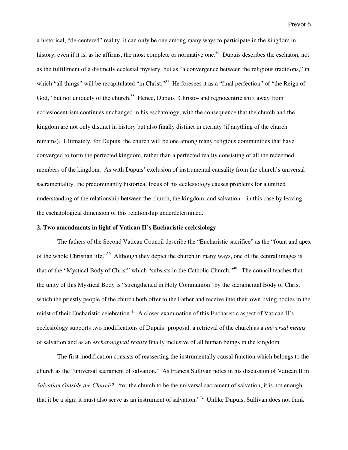Prevot 6

a historical, "de-centered" reality, it can only be one among many ways to participate in the kingdom in history, even if it is, as he affirms, the most complete or normative one.<sup>36</sup> Dupuis describes the eschaton, not as the fulfillment of a distinctly ecclesial mystery, but as "a convergence between the religious traditions," in which "all things" will be recapitulated "in Christ."<sup>37</sup> He foresees it as a "final perfection" of "the Reign of God," but not uniquely of the church.<sup>38</sup> Hence, Dupuis' Christo- and regnocentric shift away from ecclesiocentrism continues unchanged in his eschatology, with the consequence that the church and the kingdom are not only distinct in history but also finally distinct in eternity (if anything of the church remains). Ultimately, for Dupuis, the church will be one among many religious communities that have converged to form the perfected kingdom, rather than a perfected reality consisting of all the redeemed members of the kingdom. As with Dupuis' exclusion of instrumental causality from the church's universal sacramentality, the predominantly historical focus of his ecclesiology causes problems for a unified understanding of the relationship between the church, the kingdom, and salvation—in this case by leaving the eschatological dimension of this relationship underdetermined.

#### **2. Two amendments in light of Vatican II's Eucharistic ecclesiology**

 The fathers of the Second Vatican Council describe the "Eucharistic sacrifice" as the "fount and apex of the whole Christian life."<sup>39</sup> Although they depict the church in many ways, one of the central images is that of the "Mystical Body of Christ" which "subsists in the Catholic Church."<sup>40</sup> The council teaches that the unity of this Mystical Body is "strengthened in Holy Communion" by the sacramental Body of Christ which the priestly people of the church both offer to the Father and receive into their own living bodies in the midst of their Eucharistic celebration.<sup>41</sup> A closer examination of this Eucharistic aspect of Vatican II's ecclesiology supports two modifications of Dupuis' proposal: a retrieval of the church as a *universal means* of salvation and as an *eschatological reality* finally inclusive of all human beings in the kingdom.

 The first modification consists of reasserting the instrumentally causal function which belongs to the church as the "universal sacrament of salvation." As Francis Sullivan notes in his discussion of Vatican II in *Salvation Outside the Church?*, "for the church to be the universal sacrament of salvation, it is not enough that it be a sign; it must also serve as an instrument of salvation."<sup>42</sup> Unlike Dupuis, Sullivan does not think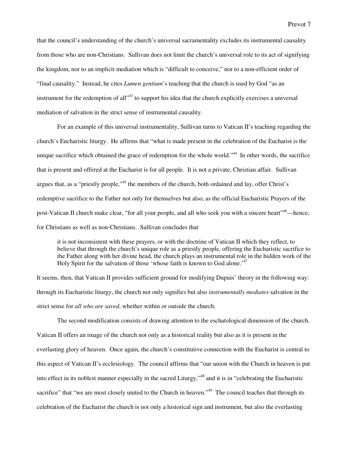that the council's understanding of the church's universal sacramentality excludes its instrumental causality from those who are non-Christians. Sullivan does not limit the church's universal role to its act of signifying the kingdom, nor to an implicit mediation which is "difficult to conceive," nor to a non-efficient order of "final causality." Instead, he cites *Lumen gentium*'s teaching that the church is used by God "as an instrument for the redemption of all<sup>343</sup> to support his idea that the church explicitly exercises a universal mediation of salvation in the strict sense of instrumental causality.

For an example of this universal instrumentality, Sullivan turns to Vatican II's teaching regarding the church's Eucharistic liturgy. He affirms that "what is made present in the celebration of the Eucharist is the unique sacrifice which obtained the grace of redemption for the whole world."<sup>44</sup> In other words, the sacrifice that is present and offered at the Eucharist is for all people. It is not a private, Christian affair. Sullivan argues that, as a "priestly people,"<sup>45</sup> the members of the church, both ordained and lay, offer Christ's redemptive sacrifice to the Father not only for themselves but also, as the official Eucharistic Prayers of the post-Vatican II church make clear, "for all your people, and all who seek you with a sincere heart"<sup>46</sup>—hence. for Christians as well as non-Christians. Sullivan concludes that

it is not inconsistent with these prayers, or with the doctrine of Vatican II which they reflect, to believe that through the church's unique role as a priestly people, offering the Eucharistic sacrifice to the Father along with her divine head, the church plays an instrumental role in the hidden work of the Holy Spirit for the salvation of those 'whose faith is known to God alone.<sup>'47</sup>

It seems, then, that Vatican II provides sufficient ground for modifying Dupuis' theory in the following way: through its Eucharistic liturgy, the church not only signifies but also *instrumentally mediates* salvation in the strict sense for *all who are saved*, whether within or outside the church.

The second modification consists of drawing attention to the eschatological dimension of the church. Vatican II offers an image of the church not only as a historical reality but also as it is present in the everlasting glory of heaven. Once again, the church's constitutive connection with the Eucharist is central to this aspect of Vatican II's ecclesiology. The council affirms that "our union with the Church in heaven is put into effect in its noblest manner especially in the sacred Liturgy,"<sup>48</sup> and it is in "celebrating the Eucharistic sacrifice" that "we are most closely united to the Church in heaven."<sup>49</sup> The council teaches that through its celebration of the Eucharist the church is not only a historical sign and instrument, but also the everlasting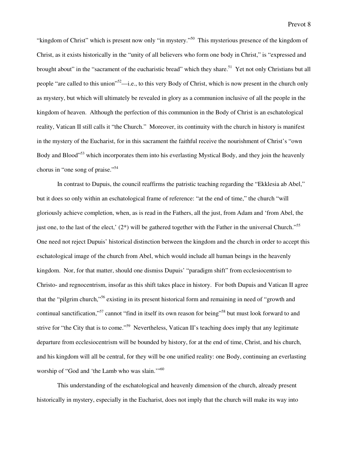"kingdom of Christ" which is present now only "in mystery."<sup>50</sup> This mysterious presence of the kingdom of Christ, as it exists historically in the "unity of all believers who form one body in Christ," is "expressed and brought about" in the "sacrament of the eucharistic bread" which they share.<sup>51</sup> Yet not only Christians but all people "are called to this union"<sup>52</sup>—i.e., to this very Body of Christ, which is now present in the church only as mystery, but which will ultimately be revealed in glory as a communion inclusive of all the people in the kingdom of heaven. Although the perfection of this communion in the Body of Christ is an eschatological reality, Vatican II still calls it "the Church." Moreover, its continuity with the church in history is manifest in the mystery of the Eucharist, for in this sacrament the faithful receive the nourishment of Christ's "own Body and Blood"<sup>53</sup> which incorporates them into his everlasting Mystical Body, and they join the heavenly chorus in "one song of praise."<sup>54</sup>

In contrast to Dupuis, the council reaffirms the patristic teaching regarding the "Ekklesia ab Abel," but it does so only within an eschatological frame of reference: "at the end of time," the church "will gloriously achieve completion, when, as is read in the Fathers, all the just, from Adam and 'from Abel, the just one, to the last of the elect,'  $(2^*)$  will be gathered together with the Father in the universal Church."<sup>55</sup> One need not reject Dupuis' historical distinction between the kingdom and the church in order to accept this eschatological image of the church from Abel, which would include all human beings in the heavenly kingdom. Nor, for that matter, should one dismiss Dupuis' "paradigm shift" from ecclesiocentrism to Christo- and regnocentrism, insofar as this shift takes place in history. For both Dupuis and Vatican II agree that the "pilgrim church,"<sup>56</sup> existing in its present historical form and remaining in need of "growth and continual sanctification,"<sup>57</sup> cannot "find in itself its own reason for being"<sup>58</sup> but must look forward to and strive for "the City that is to come."<sup>59</sup> Nevertheless, Vatican II's teaching does imply that any legitimate departure from ecclesiocentrism will be bounded by history, for at the end of time, Christ, and his church, and his kingdom will all be central, for they will be one unified reality: one Body, continuing an everlasting worship of "God and 'the Lamb who was slain."<sup>60</sup>

This understanding of the eschatological and heavenly dimension of the church, already present historically in mystery, especially in the Eucharist, does not imply that the church will make its way into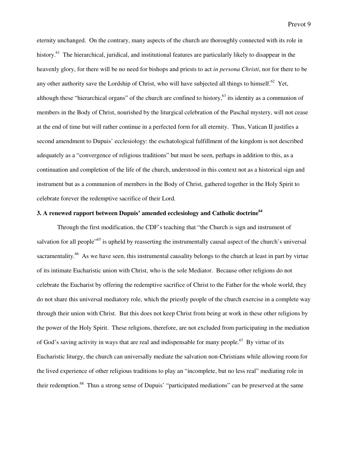Prevot 9

eternity unchanged. On the contrary, many aspects of the church are thoroughly connected with its role in history.<sup>61</sup> The hierarchical, juridical, and institutional features are particularly likely to disappear in the heavenly glory, for there will be no need for bishops and priests to act *in persona Christi*, nor for there to be any other authority save the Lordship of Christ, who will have subjected all things to himself.<sup>62</sup> Yet, although these "hierarchical organs" of the church are confined to history,<sup>63</sup> its identity as a communion of members in the Body of Christ, nourished by the liturgical celebration of the Paschal mystery, will not cease at the end of time but will rather continue in a perfected form for all eternity. Thus, Vatican II justifies a second amendment to Dupuis' ecclesiology: the eschatological fulfillment of the kingdom is not described adequately as a "convergence of religious traditions" but must be seen, perhaps in addition to this, as a continuation and completion of the life of the church, understood in this context not as a historical sign and instrument but as a communion of members in the Body of Christ, gathered together in the Holy Spirit to celebrate forever the redemptive sacrifice of their Lord.

# **3. A renewed rapport between Dupuis' amended ecclesiology and Catholic doctrine<sup>64</sup>**

Through the first modification, the CDF's teaching that "the Church is sign and instrument of salvation for all people<sup>"65</sup> is upheld by reasserting the instrumentally causal aspect of the church's universal sacramentality.<sup>66</sup> As we have seen, this instrumental causality belongs to the church at least in part by virtue of its intimate Eucharistic union with Christ, who is the sole Mediator. Because other religions do not celebrate the Eucharist by offering the redemptive sacrifice of Christ to the Father for the whole world, they do not share this universal mediatory role, which the priestly people of the church exercise in a complete way through their union with Christ. But this does not keep Christ from being at work in these other religions by the power of the Holy Spirit. These religions, therefore, are not excluded from participating in the mediation of God's saving activity in ways that are real and indispensable for many people.<sup>67</sup> By virtue of its Eucharistic liturgy, the church can universally mediate the salvation non-Christians while allowing room for the lived experience of other religious traditions to play an "incomplete, but no less real" mediating role in their redemption.<sup>68</sup> Thus a strong sense of Dupuis' "participated mediations" can be preserved at the same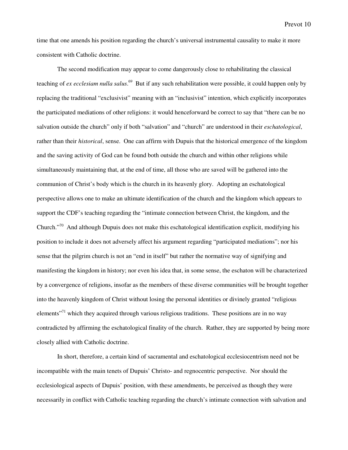time that one amends his position regarding the church's universal instrumental causality to make it more consistent with Catholic doctrine.

The second modification may appear to come dangerously close to rehabilitating the classical teaching of *ex ecclesiam nulla salus*. <sup>69</sup> But if any such rehabilitation were possible, it could happen only by replacing the traditional "exclusivist" meaning with an "inclusivist" intention, which explicitly incorporates the participated mediations of other religions: it would henceforward be correct to say that "there can be no salvation outside the church" only if both "salvation" and "church" are understood in their *eschatological*, rather than their *historical*, sense. One can affirm with Dupuis that the historical emergence of the kingdom and the saving activity of God can be found both outside the church and within other religions while simultaneously maintaining that, at the end of time, all those who are saved will be gathered into the communion of Christ's body which is the church in its heavenly glory. Adopting an eschatological perspective allows one to make an ultimate identification of the church and the kingdom which appears to support the CDF's teaching regarding the "intimate connection between Christ, the kingdom, and the Church."<sup>70</sup> And although Dupuis does not make this eschatological identification explicit, modifying his position to include it does not adversely affect his argument regarding "participated mediations"; nor his sense that the pilgrim church is not an "end in itself" but rather the normative way of signifying and manifesting the kingdom in history; nor even his idea that, in some sense, the eschaton will be characterized by a convergence of religions, insofar as the members of these diverse communities will be brought together into the heavenly kingdom of Christ without losing the personal identities or divinely granted "religious elements<sup> $271$ </sup> which they acquired through various religious traditions. These positions are in no way contradicted by affirming the eschatological finality of the church. Rather, they are supported by being more closely allied with Catholic doctrine.

In short, therefore, a certain kind of sacramental and eschatological ecclesiocentrism need not be incompatible with the main tenets of Dupuis' Christo- and regnocentric perspective. Nor should the ecclesiological aspects of Dupuis' position, with these amendments, be perceived as though they were necessarily in conflict with Catholic teaching regarding the church's intimate connection with salvation and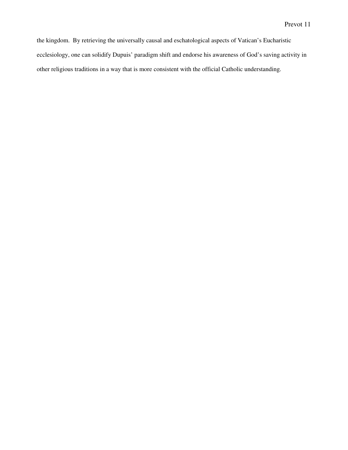the kingdom. By retrieving the universally causal and eschatological aspects of Vatican's Eucharistic ecclesiology, one can solidify Dupuis' paradigm shift and endorse his awareness of God's saving activity in other religious traditions in a way that is more consistent with the official Catholic understanding.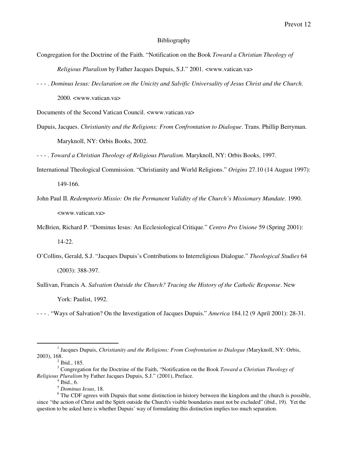## Bibliography

- Congregation for the Doctrine of the Faith. "Notification on the Book *Toward a Christian Theology of Religious Pluralism* by Father Jacques Dupuis, S.J." 2001. <www.vatican.va>
- - . *Dominus Iesus: Declaration on the Unicity and Salvific Universality of Jesus Christ and the Church*. 2000. <www.vatican.va>

Documents of the Second Vatican Council. <www.vatican.va>

Dupuis, Jacques. *Christianity and the Religions: From Confrontation to Dialogue*. Trans. Phillip Berryman. Maryknoll, NY: Orbis Books, 2002.

- - - . *Toward a Christian Theology of Religious Pluralism*. Maryknoll, NY: Orbis Books, 1997.

International Theological Commission. "Christianity and World Religions." *Origins* 27.10 (14 August 1997):

149-166.

- John Paul II. *Redemptoris Missio: On the Permanent Validity of the Church's Missionary Mandate*. 1990. <www.vatican.va>
- McBrien, Richard P. "Dominus Iesus: An Ecclesiological Critique." *Centro Pro Unione* 59 (Spring 2001): 14-22.
- O'Collins, Gerald, S.J. "Jacques Dupuis's Contributions to Interreligious Dialogue." *Theological Studies* 64 (2003): 388-397.
- Sullivan, Francis A. *Salvation Outside the Church? Tracing the History of the Catholic Response*. New York: Paulist, 1992.

- - - . "Ways of Salvation? On the Investigation of Jacques Dupuis." *America* 184.12 (9 April 2001): 28-31.

 $\overline{a}$ 

<sup>&</sup>lt;sup>1</sup> Jacques Dupuis, *Christianity and the Religions: From Confrontation to Dialogue (Maryknoll, NY: Orbis,* 2003), 168.

 $2$  Ibid., 185.

<sup>3</sup> Congregation for the Doctrine of the Faith, "Notification on the Book *Toward a Christian Theology of Religious Pluralism* by Father Jacques Dupuis, S.J." (2001), Preface.

 $<sup>4</sup>$  Ibid., 6.</sup>

<sup>5</sup> *Dominus Iesus*, 18.

<sup>&</sup>lt;sup>6</sup> The CDF agrees with Dupuis that some distinction in history between the kingdom and the church is possible, since "the action of Christ and the Spirit outside the Church's visible boundaries must not be excluded" (ibid., 19). Yet the question to be asked here is whether Dupuis' way of formulating this distinction implies too much separation.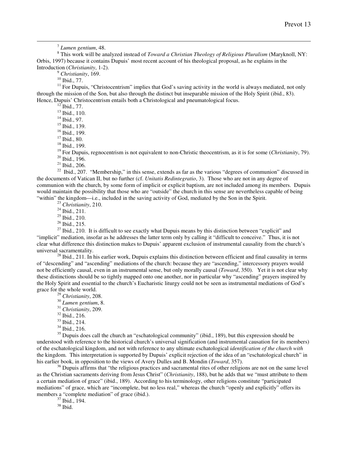7 *Lumen gentium*, 48.

8 This work will be analyzed instead of *Toward a Christian Theology of Religious Pluralism* (Maryknoll, NY: Orbis, 1997) because it contains Dupuis' most recent account of his theological proposal, as he explains in the Introduction (*Christianity*, 1-2).

<sup>9</sup> *Christianity*, 169.

 $^{10}$  Ibid., 77.

 $\overline{a}$ 

 $11$  For Dupuis, "Christocentrism" implies that God's saving activity in the world is always mediated, not only through the mission of the Son, but also through the distinct but inseparable mission of the Holy Spirit (ibid., 83). Hence, Dupuis' Christocentrism entails both a Christological and pneumatological focus.

 $^{12}$  Ibid., 77.

<sup>13</sup> Ibid., 110.

<sup>14</sup> Ibid., 97.

<sup>15</sup> Ibid., 139.

<sup>16</sup> Ibid., 199.

<sup>17</sup> Ibid., 80.

<sup>18</sup> Ibid., 199.

<sup>19</sup> For Dupuis, regnocentrism is not equivalent to non-Christic theocentrism, as it is for some (*Christianity*, 79). <sup>20</sup> Ibid., 196.

<sup>21</sup> Ibid., 206.

<sup>22</sup> Ibid., 207. "Membership," in this sense, extends as far as the various "degrees of communion" discussed in the documents of Vatican II, but no further (cf. *Unitatis Redintegratio*, 3). Those who are not in any degree of communion with the church, by some form of implicit or explicit baptism, are not included among its members. Dupuis would maintain the possibility that those who are "outside" the church in this sense are nevertheless capable of being "within" the kingdom—i.e., included in the saving activity of God, mediated by the Son in the Spirit.

<sup>23</sup> *Christianity*, 210.

<sup>24</sup> Ibid., 211.

<sup>25</sup> Ibid., 210.

<sup>26</sup> Ibid., 215.

 $27$  Ibid., 210. It is difficult to see exactly what Dupuis means by this distinction between "explicit" and "implicit" mediation, insofar as he addresses the latter term only by calling it "difficult to conceive." Thus, it is not clear what difference this distinction makes to Dupuis' apparent exclusion of instrumental causality from the church's universal sacramentality.

 $^{28}$  Ibid., 211. In his earlier work, Dupuis explains this distinction between efficient and final causality in terms of "descending" and "ascending" mediations of the church: because they are "ascending," intercessory prayers would not be efficiently causal, even in an instrumental sense, but only morally causal (*Toward*, 350). Yet it is not clear why these distinctions should be so tightly mapped onto one another, nor in particular why "ascending" prayers inspired by the Holy Spirit and essential to the church's Eucharistic liturgy could not be seen as instrumental mediations of God's grace for the whole world.

<sup>29</sup> *Christianity*, 208.

<sup>30</sup> *Lumen gentium*, 8.

<sup>31</sup> *Christianity*, 209.

<sup>32</sup> Ibid., 216.

<sup>33</sup> Ibid., 214.

<sup>34</sup> Ibid., 216.

 $35$  Dupuis does call the church an "eschatological community" (ibid., 189), but this expression should be understood with reference to the historical church's universal signification (and instrumental causation for its members) of the eschatological kingdom, and not with reference to any ultimate eschatological *identification of the church with* the kingdom. This interpretation is supported by Dupuis' explicit rejection of the idea of an "eschatological church" in his earlier book, in opposition to the views of Avery Dulles and B. Mondin (*Toward*, 357).

<sup>36</sup> Dupuis affirms that "the religious practices and sacramental rites of other religions are not on the same level as the Christian sacraments deriving from Jesus Christ" (*Christianity*, 188), but he adds that we "must attribute to them a certain mediation of grace" (ibid., 189). According to his terminology, other religions constitute "participated mediations" of grace, which are "incomplete, but no less real," whereas the church "openly and explicitly" offers its members a "complete mediation" of grace (ibid.).

<sup>37</sup> Ibid., 194.

 $38$  Ibid.